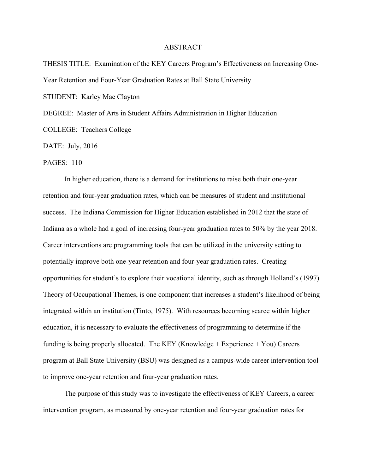## ABSTRACT

THESIS TITLE: Examination of the KEY Careers Program's Effectiveness on Increasing One-Year Retention and Four-Year Graduation Rates at Ball State University STUDENT: Karley Mae Clayton

DEGREE: Master of Arts in Student Affairs Administration in Higher Education

COLLEGE: Teachers College

DATE: July, 2016

PAGES: 110

In higher education, there is a demand for institutions to raise both their one-year retention and four-year graduation rates, which can be measures of student and institutional success. The Indiana Commission for Higher Education established in 2012 that the state of Indiana as a whole had a goal of increasing four-year graduation rates to 50% by the year 2018. Career interventions are programming tools that can be utilized in the university setting to potentially improve both one-year retention and four-year graduation rates. Creating opportunities for student's to explore their vocational identity, such as through Holland's (1997) Theory of Occupational Themes, is one component that increases a student's likelihood of being integrated within an institution (Tinto, 1975). With resources becoming scarce within higher education, it is necessary to evaluate the effectiveness of programming to determine if the funding is being properly allocated. The KEY (Knowledge + Experience + You) Careers program at Ball State University (BSU) was designed as a campus-wide career intervention tool to improve one-year retention and four-year graduation rates.

The purpose of this study was to investigate the effectiveness of KEY Careers, a career intervention program, as measured by one-year retention and four-year graduation rates for